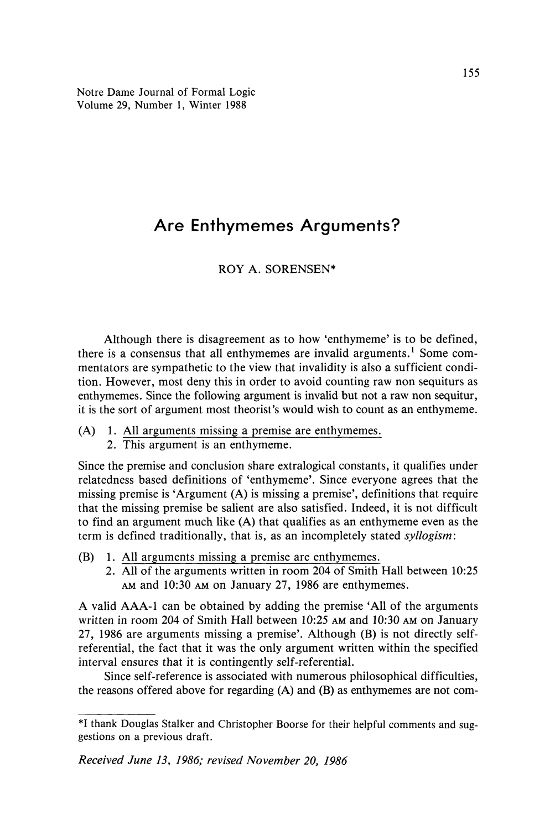Notre Dame Journal of Formal Logic Volume 29, Number 1, Winter 1988

# **Are Enthymemes Arguments?**

# ROY A. SORENSEN\*

Although there is disagreement as to how 'enthymeme' is to be defined, there is a consensus that all enthymemes are invalid arguments.<sup>1</sup> Some commentators are sympathetic to the view that invalidity is also a sufficient condition. However, most deny this in order to avoid counting raw non sequiturs as enthymemes. Since the following argument is invalid but not a raw non sequitur, it is the sort of argument most theorist's would wish to count as an enthymeme.

- (A) 1. All arguments missing a premise are enthymemes.
	- 2. This argument is an enthymeme.

Since the premise and conclusion share extralogical constants, it qualifies under relatedness based definitions of 'enthymeme'. Since everyone agrees that the missing premise is 'Argument (A) is missing a premise', definitions that require that the missing premise be salient are also satisfied. Indeed, it is not difficult to find an argument much like (A) that qualifies as an enthymeme even as the term is defined traditionally, that is, as an incompletely stated *syllogism:*

- (B) 1. All arguments missing a premise are enthymemes.
	- 2. All of the arguments written in room 204 of Smith Hall between 10:25 AM and 10:30 AM on January 27, 1986 are enthymemes.

A valid AAA-1 can be obtained by adding the premise 'All of the arguments written in room 204 of Smith Hall between 10:25 AM and 10:30 AM on January 27, 1986 are arguments missing a premise'. Although (B) is not directly selfreferential, the fact that it was the only argument written within the specified interval ensures that it is contingently self-referential.

Since self-reference is associated with numerous philosophical difficulties, the reasons offered above for regarding (A) and (B) as enthymemes are not com-

<sup>\*</sup>I thank Douglas Stalker and Christopher Boorse for their helpful comments and suggestions on a previous draft.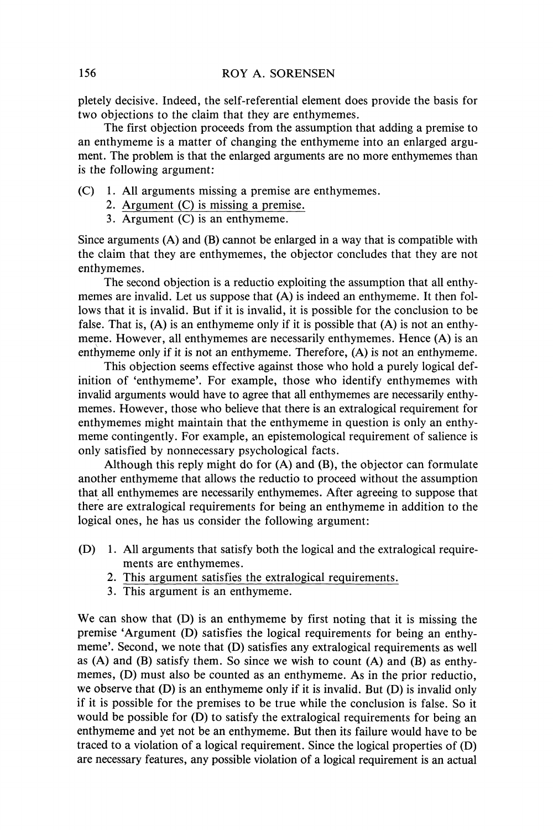pletely decisive. Indeed, the self-referential element does provide the basis for two objections to the claim that they are enthymemes.

The first objection proceeds from the assumption that adding a premise to an enthymeme is a matter of changing the enthymeme into an enlarged argument. The problem is that the enlarged arguments are no more enthymemes than is the following argument:

- (C) 1. All arguments missing a premise are enthymemes.
	- 2. Argument (C) is missing a premise.
	- 3. Argument (C) is an enthymeme.

Since arguments (A) and (B) cannot be enlarged in a way that is compatible with the claim that they are enthymemes, the objector concludes that they are not enthymemes.

The second objection is a reductio exploiting the assumption that all enthymemes are invalid. Let us suppose that (A) is indeed an enthymeme. It then follows that it is invalid. But if it is invalid, it is possible for the conclusion to be false. That is,  $(A)$  is an enthymeme only if it is possible that  $(A)$  is not an enthymeme. However, all enthymemes are necessarily enthymemes. Hence (A) is an enthymeme only if it is not an enthymeme. Therefore, (A) is not an enthymeme.

This objection seems effective against those who hold a purely logical definition of 'enthymeme'. For example, those who identify enthymemes with invalid arguments would have to agree that all enthymemes are necessarily enthymemes. However, those who believe that there is an extralogical requirement for enthymemes might maintain that the enthymeme in question is only an enthymeme contingently. For example, an epistemological requirement of salience is only satisfied by nonnecessary psychological facts.

Although this reply might do for (A) and (B), the objector can formulate another enthymeme that allows the reductio to proceed without the assumption that all enthymemes are necessarily enthymemes. After agreeing to suppose that there are extralogical requirements for being an enthymeme in addition to the logical ones, he has us consider the following argument:

- (D) 1. All arguments that satisfy both the logical and the extralogical requirements are enthymemes.
	- 2. This argument satisfies the extralogical requirements.
	- 3. This argument is an enthymeme.

We can show that (D) is an enthymeme by first noting that it is missing the premise 'Argument (D) satisfies the logical requirements for being an enthymeme'. Second, we note that (D) satisfies any extralogical requirements as well as (A) and (B) satisfy them. So since we wish to count (A) and (B) as enthymemes, (D) must also be counted as an enthymeme. As in the prior reductio, we observe that  $(D)$  is an enthymeme only if it is invalid. But  $(D)$  is invalid only if it is possible for the premises to be true while the conclusion is false. So it would be possible for (D) to satisfy the extralogical requirements for being an enthymeme and yet not be an enthymeme. But then its failure would have to be traced to a violation of a logical requirement. Since the logical properties of (D) are necessary features, any possible violation of a logical requirement is an actual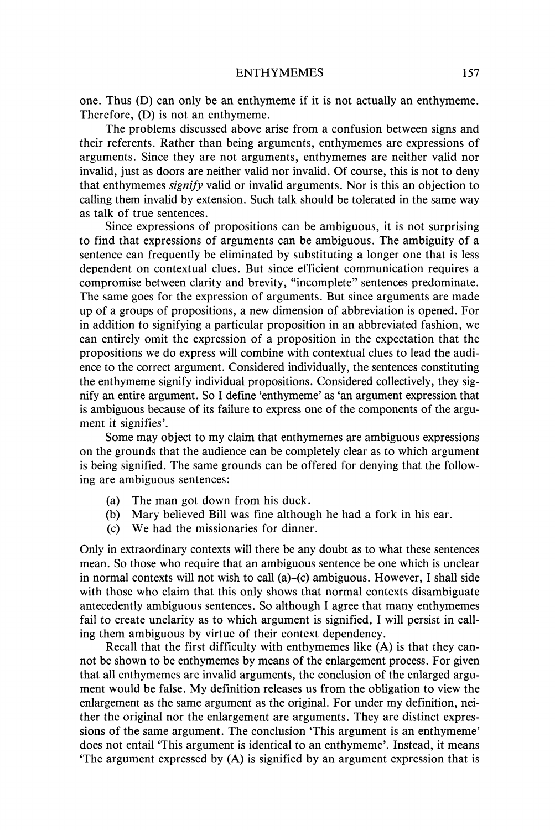one. Thus (D) can only be an enthymeme if it is not actually an enthymeme. Therefore, (D) is not an enthymeme.

The problems discussed above arise from a confusion between signs and their referents. Rather than being arguments, enthymemes are expressions of arguments. Since they are not arguments, enthymemes are neither valid nor invalid, just as doors are neither valid nor invalid. Of course, this is not to deny that enthymemes *signify* valid or invalid arguments. Nor is this an objection to calling them invalid by extension. Such talk should be tolerated in the same way as talk of true sentences.

Since expressions of propositions can be ambiguous, it is not surprising to find that expressions of arguments can be ambiguous. The ambiguity of a sentence can frequently be eliminated by substituting a longer one that is less dependent on contextual clues. But since efficient communication requires a compromise between clarity and brevity, "incomplete" sentences predominate. The same goes for the expression of arguments. But since arguments are made up of a groups of propositions, a new dimension of abbreviation is opened. For in addition to signifying a particular proposition in an abbreviated fashion, we can entirely omit the expression of a proposition in the expectation that the propositions we do express will combine with contextual clues to lead the audience to the correct argument. Considered individually, the sentences constituting the enthymeme signify individual propositions. Considered collectively, they signify an entire argument. So I define 'enthymeme' as 'an argument expression that is ambiguous because of its failure to express one of the components of the argument it signifies'.

Some may object to my claim that enthymemes are ambiguous expressions on the grounds that the audience can be completely clear as to which argument is being signified. The same grounds can be offered for denying that the following are ambiguous sentences:

- (a) The man got down from his duck.
- (b) Mary believed Bill was fine although he had a fork in his ear.
- (c) We had the missionaries for dinner.

Only in extraordinary contexts will there be any doubt as to what these sentences mean. So those who require that an ambiguous sentence be one which is unclear in normal contexts will not wish to call  $(a)$ – $(c)$  ambiguous. However, I shall side with those who claim that this only shows that normal contexts disambiguate antecedently ambiguous sentences. So although I agree that many enthymemes fail to create unclarity as to which argument is signified, I will persist in calling them ambiguous by virtue of their context dependency.

Recall that the first difficulty with enthymemes like (A) is that they cannot be shown to be enthymemes by means of the enlargement process. For given that all enthymemes are invalid arguments, the conclusion of the enlarged argument would be false. My definition releases us from the obligation to view the enlargement as the same argument as the original. For under my definition, neither the original nor the enlargement are arguments. They are distinct expressions of the same argument. The conclusion 'This argument is an enthymeme' does not entail This argument is identical to an enthymeme'. Instead, it means The argument expressed by  $(A)$  is signified by an argument expression that is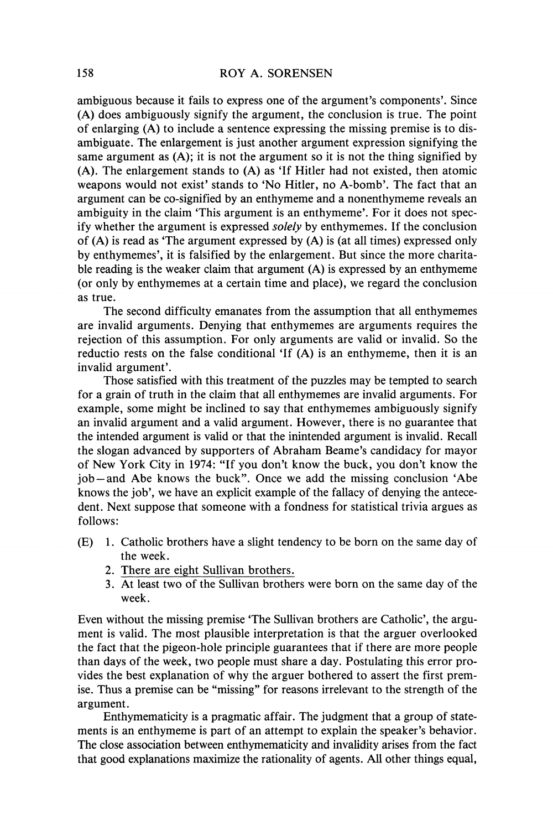ambiguous because it fails to express one of the argument's components'. Since (A) does ambiguously signify the argument, the conclusion is true. The point of enlarging (A) to include a sentence expressing the missing premise is to disambiguate. The enlargement is just another argument expression signifying the same argument as (A); it is not the argument so it is not the thing signified by (A). The enlargement stands to (A) as 'If Hitler had not existed, then atomic weapons would not exist' stands to 'No Hitler, no A-bomb'. The fact that an argument can be co-signified by an enthymeme and a nonenthymeme reveals an ambiguity in the claim This argument is an enthymeme'. For it does not specify whether the argument is expressed *solely* by enthymemes. If the conclusion of  $(A)$  is read as 'The argument expressed by  $(A)$  is (at all times) expressed only by enthymemes', it is falsified by the enlargement. But since the more charitable reading is the weaker claim that argument (A) is expressed by an enthymeme (or only by enthymemes at a certain time and place), we regard the conclusion as true.

The second difficulty emanates from the assumption that all enthymemes are invalid arguments. Denying that enthymemes are arguments requires the rejection of this assumption. For only arguments are valid or invalid. So the reductio rests on the false conditional 'If (A) is an enthymeme, then it is an invalid argument'.

Those satisfied with this treatment of the puzzles may be tempted to search for a grain of truth in the claim that all enthymemes are invalid arguments. For example, some might be inclined to say that enthymemes ambiguously signify an invalid argument and a valid argument. However, there is no guarantee that the intended argument is valid or that the inintended argument is invalid. Recall the slogan advanced by supporters of Abraham Beame's candidacy for mayor of New York City in 1974: "If you don't know the buck, you don't know the job —and Abe knows the buck". Once we add the missing conclusion 'Abe knows the job', we have an explicit example of the fallacy of denying the antecedent. Next suppose that someone with a fondness for statistical trivia argues as follows:

- (E) 1. Catholic brothers have a slight tendency to be born on the same day of the week.
	- 2. There are eight Sullivan brothers.
	- 3. At least two of the Sullivan brothers were born on the same day of the week.

Even without the missing premise The Sullivan brothers are Catholic', the argument is valid. The most plausible interpretation is that the arguer overlooked the fact that the pigeon-hole principle guarantees that if there are more people than days of the week, two people must share a day. Postulating this error provides the best explanation of why the arguer bothered to assert the first premise. Thus a premise can be "missing" for reasons irrelevant to the strength of the argument.

Enthymematicity is a pragmatic affair. The judgment that a group of statements is an enthymeme is part of an attempt to explain the speaker's behavior. The close association between enthymematicity and invalidity arises from the fact that good explanations maximize the rationality of agents. All other things equal,